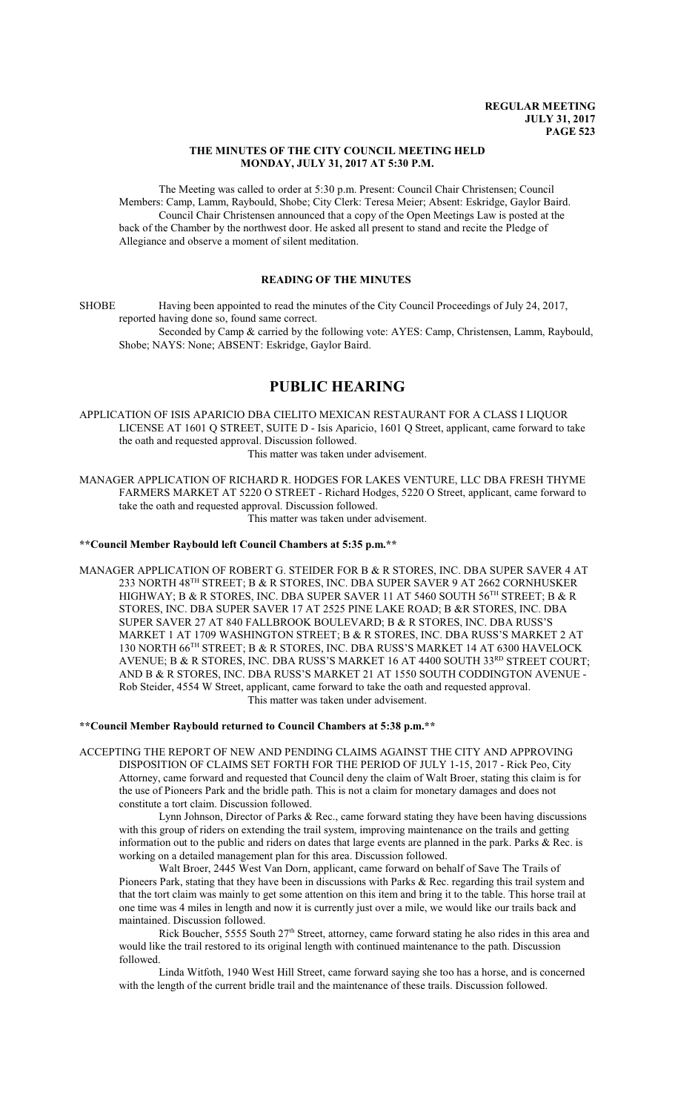### **THE MINUTES OF THE CITY COUNCIL MEETING HELD MONDAY, JULY 31, 2017 AT 5:30 P.M.**

The Meeting was called to order at 5:30 p.m. Present: Council Chair Christensen; Council Members: Camp, Lamm, Raybould, Shobe; City Clerk: Teresa Meier; Absent: Eskridge, Gaylor Baird. Council Chair Christensen announced that a copy of the Open Meetings Law is posted at the back of the Chamber by the northwest door. He asked all present to stand and recite the Pledge of Allegiance and observe a moment of silent meditation.

## **READING OF THE MINUTES**

SHOBE Having been appointed to read the minutes of the City Council Proceedings of July 24, 2017, reported having done so, found same correct.

Seconded by Camp & carried by the following vote: AYES: Camp, Christensen, Lamm, Raybould, Shobe; NAYS: None; ABSENT: Eskridge, Gaylor Baird.

# **PUBLIC HEARING**

APPLICATION OF ISIS APARICIO DBA CIELITO MEXICAN RESTAURANT FOR A CLASS I LIQUOR LICENSE AT 1601 Q STREET, SUITE D - Isis Aparicio, 1601 Q Street, applicant, came forward to take the oath and requested approval. Discussion followed. This matter was taken under advisement.

MANAGER APPLICATION OF RICHARD R. HODGES FOR LAKES VENTURE, LLC DBA FRESH THYME FARMERS MARKET AT 5220 O STREET - Richard Hodges, 5220 O Street, applicant, came forward to take the oath and requested approval. Discussion followed.

This matter was taken under advisement.

### **\*\*Council Member Raybould left Council Chambers at 5:35 p.m.\*\***

MANAGER APPLICATION OF ROBERT G. STEIDER FOR B & R STORES, INC. DBA SUPER SAVER 4 AT 233 NORTH 48 TH STREET; B & R STORES, INC. DBA SUPER SAVER 9 AT 2662 CORNHUSKER HIGHWAY; B & R STORES, INC. DBA SUPER SAVER 11 AT 5460 SOUTH 56<sup>th</sup> STREET; B & R STORES, INC. DBA SUPER SAVER 17 AT 2525 PINE LAKE ROAD; B &R STORES, INC. DBA SUPER SAVER 27 AT 840 FALLBROOK BOULEVARD; B & R STORES, INC. DBA RUSS'S MARKET 1 AT 1709 WASHINGTON STREET; B & R STORES, INC. DBA RUSS'S MARKET 2 AT 130 NORTH 66<sup>TH</sup> STREET; B & R STORES, INC. DBA RUSS'S MARKET 14 AT 6300 HAVELOCK AVENUE; B & R STORES, INC. DBA RUSS'S MARKET 16 AT 4400 SOUTH 33<sup>rd</sup> STREET COURT; AND B & R STORES, INC. DBA RUSS'S MARKET 21 AT 1550 SOUTH CODDINGTON AVENUE - Rob Steider, 4554 W Street, applicant, came forward to take the oath and requested approval. This matter was taken under advisement.

**\*\*Council Member Raybould returned to Council Chambers at 5:38 p.m.\*\***

ACCEPTING THE REPORT OF NEW AND PENDING CLAIMS AGAINST THE CITY AND APPROVING DISPOSITION OF CLAIMS SET FORTH FOR THE PERIOD OF JULY 1-15, 2017 - Rick Peo, City Attorney, came forward and requested that Council deny the claim of Walt Broer, stating this claim is for the use of Pioneers Park and the bridle path. This is not a claim for monetary damages and does not constitute a tort claim. Discussion followed.

Lynn Johnson, Director of Parks & Rec., came forward stating they have been having discussions with this group of riders on extending the trail system, improving maintenance on the trails and getting information out to the public and riders on dates that large events are planned in the park. Parks & Rec. is working on a detailed management plan for this area. Discussion followed.

Walt Broer, 2445 West Van Dorn, applicant, came forward on behalf of Save The Trails of Pioneers Park, stating that they have been in discussions with Parks & Rec. regarding this trail system and that the tort claim was mainly to get some attention on this item and bring it to the table. This horse trail at one time was 4 miles in length and now it is currently just over a mile, we would like our trails back and maintained. Discussion followed.

Rick Boucher, 5555 South 27<sup>th</sup> Street, attorney, came forward stating he also rides in this area and would like the trail restored to its original length with continued maintenance to the path. Discussion followed.

Linda Witfoth, 1940 West Hill Street, came forward saying she too has a horse, and is concerned with the length of the current bridle trail and the maintenance of these trails. Discussion followed.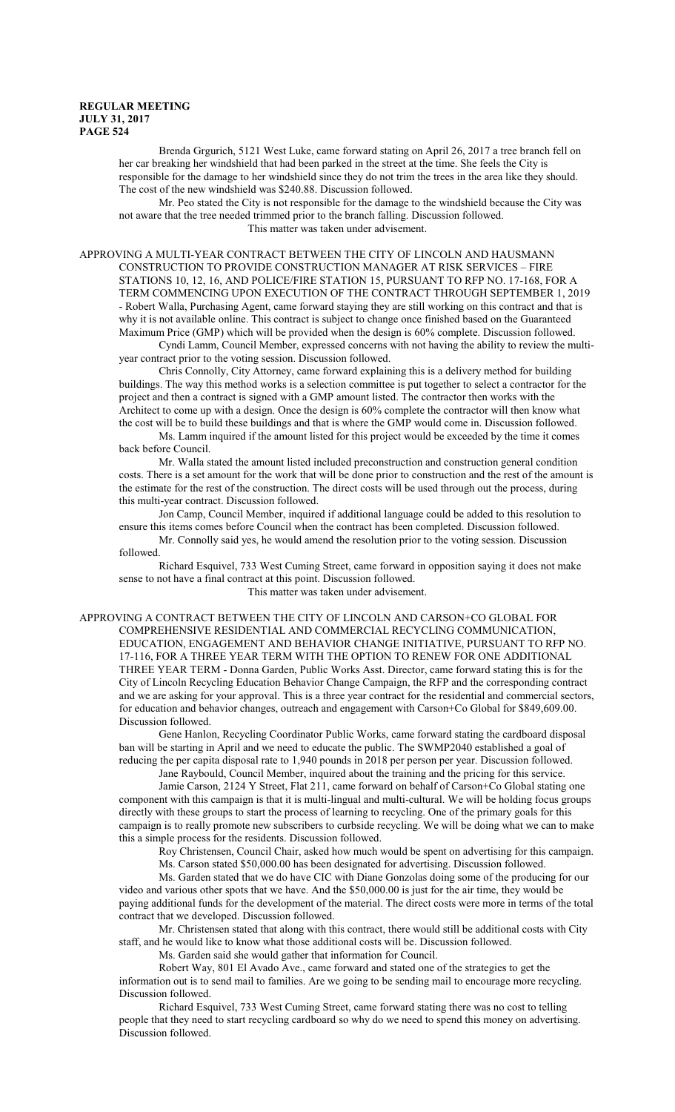Brenda Grgurich, 5121 West Luke, came forward stating on April 26, 2017 a tree branch fell on her car breaking her windshield that had been parked in the street at the time. She feels the City is responsible for the damage to her windshield since they do not trim the trees in the area like they should. The cost of the new windshield was \$240.88. Discussion followed.

Mr. Peo stated the City is not responsible for the damage to the windshield because the City was not aware that the tree needed trimmed prior to the branch falling. Discussion followed. This matter was taken under advisement.

APPROVING A MULTI-YEAR CONTRACT BETWEEN THE CITY OF LINCOLN AND HAUSMANN CONSTRUCTION TO PROVIDE CONSTRUCTION MANAGER AT RISK SERVICES – FIRE STATIONS 10, 12, 16, AND POLICE/FIRE STATION 15, PURSUANT TO RFP NO. 17-168, FOR A TERM COMMENCING UPON EXECUTION OF THE CONTRACT THROUGH SEPTEMBER 1, 2019 - Robert Walla, Purchasing Agent, came forward staying they are still working on this contract and that is why it is not available online. This contract is subject to change once finished based on the Guaranteed Maximum Price (GMP) which will be provided when the design is 60% complete. Discussion followed.

Cyndi Lamm, Council Member, expressed concerns with not having the ability to review the multiyear contract prior to the voting session. Discussion followed.

Chris Connolly, City Attorney, came forward explaining this is a delivery method for building buildings. The way this method works is a selection committee is put together to select a contractor for the project and then a contract is signed with a GMP amount listed. The contractor then works with the Architect to come up with a design. Once the design is 60% complete the contractor will then know what the cost will be to build these buildings and that is where the GMP would come in. Discussion followed.

Ms. Lamm inquired if the amount listed for this project would be exceeded by the time it comes back before Council.

Mr. Walla stated the amount listed included preconstruction and construction general condition costs. There is a set amount for the work that will be done prior to construction and the rest of the amount is the estimate for the rest of the construction. The direct costs will be used through out the process, during this multi-year contract. Discussion followed.

Jon Camp, Council Member, inquired if additional language could be added to this resolution to ensure this items comes before Council when the contract has been completed. Discussion followed.

Mr. Connolly said yes, he would amend the resolution prior to the voting session. Discussion followed.

Richard Esquivel, 733 West Cuming Street, came forward in opposition saying it does not make sense to not have a final contract at this point. Discussion followed.

This matter was taken under advisement.

APPROVING A CONTRACT BETWEEN THE CITY OF LINCOLN AND CARSON+CO GLOBAL FOR COMPREHENSIVE RESIDENTIAL AND COMMERCIAL RECYCLING COMMUNICATION, EDUCATION, ENGAGEMENT AND BEHAVIOR CHANGE INITIATIVE, PURSUANT TO RFP NO. 17-116, FOR A THREE YEAR TERM WITH THE OPTION TO RENEW FOR ONE ADDITIONAL THREE YEAR TERM - Donna Garden, Public Works Asst. Director, came forward stating this is for the City of Lincoln Recycling Education Behavior Change Campaign, the RFP and the corresponding contract and we are asking for your approval. This is a three year contract for the residential and commercial sectors, for education and behavior changes, outreach and engagement with Carson+Co Global for \$849,609.00. Discussion followed.

Gene Hanlon, Recycling Coordinator Public Works, came forward stating the cardboard disposal ban will be starting in April and we need to educate the public. The SWMP2040 established a goal of reducing the per capita disposal rate to 1,940 pounds in 2018 per person per year. Discussion followed.

Jane Raybould, Council Member, inquired about the training and the pricing for this service.

Jamie Carson, 2124 Y Street, Flat 211, came forward on behalf of Carson+Co Global stating one component with this campaign is that it is multi-lingual and multi-cultural. We will be holding focus groups directly with these groups to start the process of learning to recycling. One of the primary goals for this campaign is to really promote new subscribers to curbside recycling. We will be doing what we can to make this a simple process for the residents. Discussion followed.

Roy Christensen, Council Chair, asked how much would be spent on advertising for this campaign.

Ms. Carson stated \$50,000.00 has been designated for advertising. Discussion followed.

Ms. Garden stated that we do have CIC with Diane Gonzolas doing some of the producing for our video and various other spots that we have. And the \$50,000.00 is just for the air time, they would be paying additional funds for the development of the material. The direct costs were more in terms of the total contract that we developed. Discussion followed.

Mr. Christensen stated that along with this contract, there would still be additional costs with City staff, and he would like to know what those additional costs will be. Discussion followed.

Ms. Garden said she would gather that information for Council.

Robert Way, 801 El Avado Ave., came forward and stated one of the strategies to get the information out is to send mail to families. Are we going to be sending mail to encourage more recycling. Discussion followed.

Richard Esquivel, 733 West Cuming Street, came forward stating there was no cost to telling people that they need to start recycling cardboard so why do we need to spend this money on advertising. Discussion followed.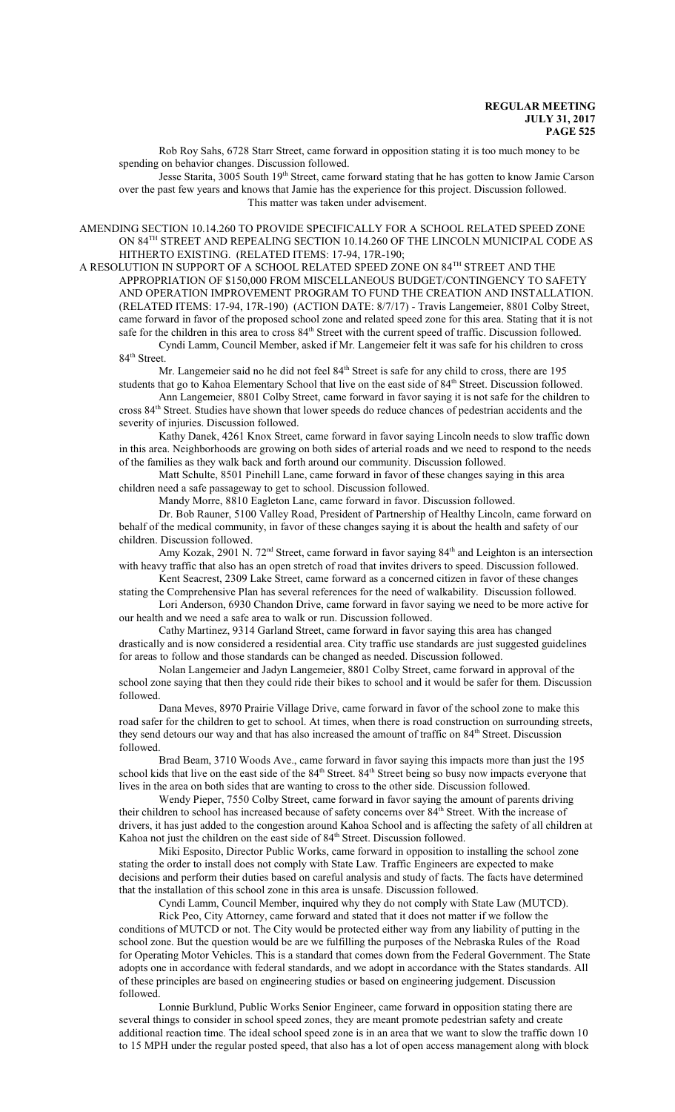Rob Roy Sahs, 6728 Starr Street, came forward in opposition stating it is too much money to be spending on behavior changes. Discussion followed.

Jesse Starita, 3005 South 19<sup>th</sup> Street, came forward stating that he has gotten to know Jamie Carson over the past few years and knows that Jamie has the experience for this project. Discussion followed. This matter was taken under advisement.

AMENDING SECTION 10.14.260 TO PROVIDE SPECIFICALLY FOR A SCHOOL RELATED SPEED ZONE ON 84 TH STREET AND REPEALING SECTION 10.14.260 OF THE LINCOLN MUNICIPAL CODE AS HITHERTO EXISTING. (RELATED ITEMS: 17-94, 17R-190;

A RESOLUTION IN SUPPORT OF A SCHOOL RELATED SPEED ZONE ON  $84^{\text{\tiny{TH}}}$  STREET AND THE APPROPRIATION OF \$150,000 FROM MISCELLANEOUS BUDGET/CONTINGENCY TO SAFETY AND OPERATION IMPROVEMENT PROGRAM TO FUND THE CREATION AND INSTALLATION. (RELATED ITEMS: 17-94, 17R-190) (ACTION DATE: 8/7/17) - Travis Langemeier, 8801 Colby Street, came forward in favor of the proposed school zone and related speed zone for this area. Stating that it is not safe for the children in this area to cross  $84<sup>th</sup>$  Street with the current speed of traffic. Discussion followed. Cyndi Lamm, Council Member, asked if Mr. Langemeier felt it was safe for his children to cross

84<sup>th</sup> Street.

Mr. Langemeier said no he did not feel 84<sup>th</sup> Street is safe for any child to cross, there are 195 students that go to Kahoa Elementary School that live on the east side of 84<sup>th</sup> Street. Discussion followed.

Ann Langemeier, 8801 Colby Street, came forward in favor saying it is not safe for the children to cross 84<sup>th</sup> Street. Studies have shown that lower speeds do reduce chances of pedestrian accidents and the severity of injuries. Discussion followed.

Kathy Danek, 4261 Knox Street, came forward in favor saying Lincoln needs to slow traffic down in this area. Neighborhoods are growing on both sides of arterial roads and we need to respond to the needs of the families as they walk back and forth around our community. Discussion followed.

Matt Schulte, 8501 Pinehill Lane, came forward in favor of these changes saying in this area children need a safe passageway to get to school. Discussion followed.

Mandy Morre, 8810 Eagleton Lane, came forward in favor. Discussion followed.

Dr. Bob Rauner, 5100 Valley Road, President of Partnership of Healthy Lincoln, came forward on behalf of the medical community, in favor of these changes saying it is about the health and safety of our children. Discussion followed.

Amy Kozak, 2901 N. 72<sup>nd</sup> Street, came forward in favor saying 84<sup>th</sup> and Leighton is an intersection with heavy traffic that also has an open stretch of road that invites drivers to speed. Discussion followed.

Kent Seacrest, 2309 Lake Street, came forward as a concerned citizen in favor of these changes stating the Comprehensive Plan has several references for the need of walkability. Discussion followed.

Lori Anderson, 6930 Chandon Drive, came forward in favor saying we need to be more active for our health and we need a safe area to walk or run. Discussion followed.

Cathy Martinez, 9314 Garland Street, came forward in favor saying this area has changed drastically and is now considered a residential area. City traffic use standards are just suggested guidelines for areas to follow and those standards can be changed as needed. Discussion followed.

Nolan Langemeier and Jadyn Langemeier, 8801 Colby Street, came forward in approval of the school zone saying that then they could ride their bikes to school and it would be safer for them. Discussion followed.

Dana Meves, 8970 Prairie Village Drive, came forward in favor of the school zone to make this road safer for the children to get to school. At times, when there is road construction on surrounding streets, they send detours our way and that has also increased the amount of traffic on 84<sup>th</sup> Street. Discussion followed.

Brad Beam, 3710 Woods Ave., came forward in favor saying this impacts more than just the 195 school kids that live on the east side of the 84<sup>th</sup> Street. 84<sup>th</sup> Street being so busy now impacts everyone that lives in the area on both sides that are wanting to cross to the other side. Discussion followed.

Wendy Pieper, 7550 Colby Street, came forward in favor saying the amount of parents driving their children to school has increased because of safety concerns over 84<sup>th</sup> Street. With the increase of drivers, it has just added to the congestion around Kahoa School and is affecting the safety of all children at Kahoa not just the children on the east side of 84<sup>th</sup> Street. Discussion followed.

Miki Esposito, Director Public Works, came forward in opposition to installing the school zone stating the order to install does not comply with State Law. Traffic Engineers are expected to make decisions and perform their duties based on careful analysis and study of facts. The facts have determined that the installation of this school zone in this area is unsafe. Discussion followed.

Cyndi Lamm, Council Member, inquired why they do not comply with State Law (MUTCD).

Rick Peo, City Attorney, came forward and stated that it does not matter if we follow the conditions of MUTCD or not. The City would be protected either way from any liability of putting in the school zone. But the question would be are we fulfilling the purposes of the Nebraska Rules of the Road for Operating Motor Vehicles. This is a standard that comes down from the Federal Government. The State adopts one in accordance with federal standards, and we adopt in accordance with the States standards. All of these principles are based on engineering studies or based on engineering judgement. Discussion followed.

Lonnie Burklund, Public Works Senior Engineer, came forward in opposition stating there are several things to consider in school speed zones, they are meant promote pedestrian safety and create additional reaction time. The ideal school speed zone is in an area that we want to slow the traffic down 10 to 15 MPH under the regular posted speed, that also has a lot of open access management along with block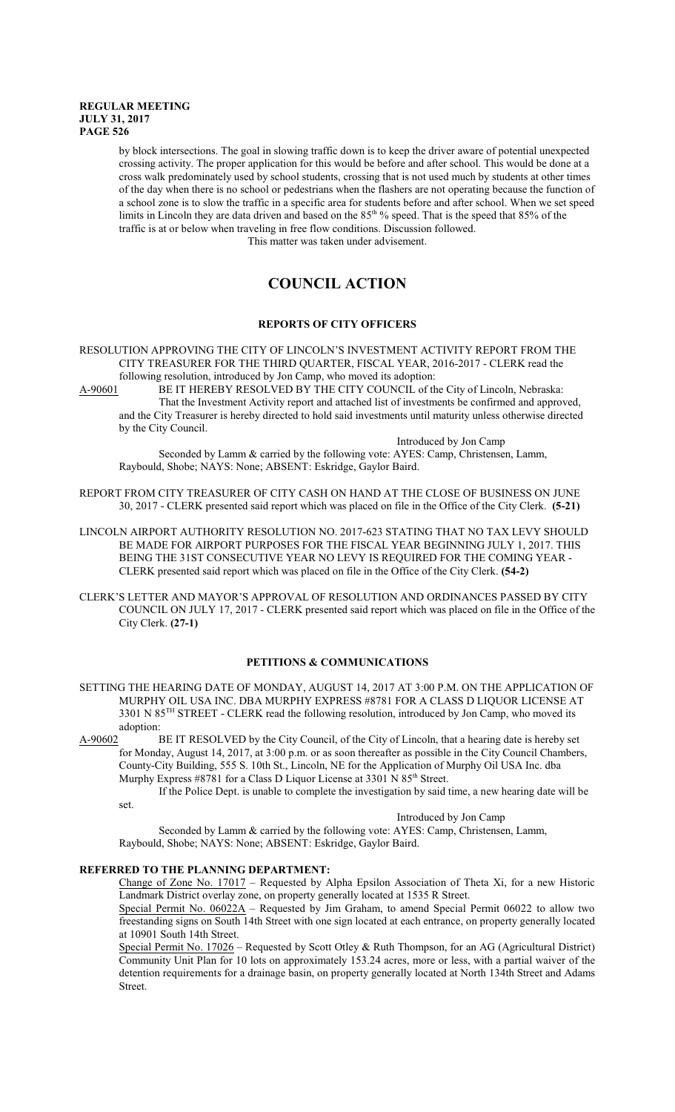by block intersections. The goal in slowing traffic down is to keep the driver aware of potential unexpected crossing activity. The proper application for this would be before and after school. This would be done at a cross walk predominately used by school students, crossing that is not used much by students at other times of the day when there is no school or pedestrians when the flashers are not operating because the function of a school zone is to slow the traffic in a specific area for students before and after school. When we set speed limits in Lincoln they are data driven and based on the 85<sup>th o</sup> speed. That is the speed that 85% of the traffic is at or below when traveling in free flow conditions. Discussion followed.

This matter was taken under advisement.

# **COUNCIL ACTION**

# **REPORTS OF CITY OFFICERS**

RESOLUTION APPROVING THE CITY OF LINCOLN'S INVESTMENT ACTIVITY REPORT FROM THE CITY TREASURER FOR THE THIRD QUARTER, FISCAL YEAR, 2016-2017 - CLERK read the following resolution, introduced by Jon Camp, who moved its adoption:<br>A-90601 BE IT HEREBY RESOLVED BY THE CITY COUNCIL of th

BE IT HEREBY RESOLVED BY THE CITY COUNCIL of the City of Lincoln, Nebraska: That the Investment Activity report and attached list of investments be confirmed and approved, and the City Treasurer is hereby directed to hold said investments until maturity unless otherwise directed by the City Council.

Introduced by Jon Camp

Seconded by Lamm & carried by the following vote: AYES: Camp, Christensen, Lamm, Raybould, Shobe; NAYS: None; ABSENT: Eskridge, Gaylor Baird.

- REPORT FROM CITY TREASURER OF CITY CASH ON HAND AT THE CLOSE OF BUSINESS ON JUNE 30, 2017 - CLERK presented said report which was placed on file in the Office of the City Clerk. **(5-21)**
- LINCOLN AIRPORT AUTHORITY RESOLUTION NO. 2017-623 STATING THAT NO TAX LEVY SHOULD BE MADE FOR AIRPORT PURPOSES FOR THE FISCAL YEAR BEGINNING JULY 1, 2017. THIS BEING THE 31ST CONSECUTIVE YEAR NO LEVY IS REQUIRED FOR THE COMING YEAR - CLERK presented said report which was placed on file in the Office of the City Clerk. **(54-2)**
- CLERK'S LETTER AND MAYOR'S APPROVAL OF RESOLUTION AND ORDINANCES PASSED BY CITY COUNCIL ON JULY 17, 2017 - CLERK presented said report which was placed on file in the Office of the City Clerk. **(27-1)**

# **PETITIONS & COMMUNICATIONS**

- SETTING THE HEARING DATE OF MONDAY, AUGUST 14, 2017 AT 3:00 P.M. ON THE APPLICATION OF MURPHY OIL USA INC. DBA MURPHY EXPRESS #8781 FOR A CLASS D LIQUOR LICENSE AT 3301 N 85<sup>TH</sup> STREET - CLERK read the following resolution, introduced by Jon Camp, who moved its adoption:
- A-90602 BE IT RESOLVED by the City Council, of the City of Lincoln, that a hearing date is hereby set for Monday, August 14, 2017, at 3:00 p.m. or as soon thereafter as possible in the City Council Chambers, County-City Building, 555 S. 10th St., Lincoln, NE for the Application of Murphy Oil USA Inc. dba Murphy Express #8781 for a Class D Liquor License at 3301 N 85<sup>th</sup> Street.

If the Police Dept. is unable to complete the investigation by said time, a new hearing date will be set.

Introduced by Jon Camp

Seconded by Lamm & carried by the following vote: AYES: Camp, Christensen, Lamm, Raybould, Shobe; NAYS: None; ABSENT: Eskridge, Gaylor Baird.

# **REFERRED TO THE PLANNING DEPARTMENT:**

Change of Zone No. 17017 – Requested by Alpha Epsilon Association of Theta Xi, for a new Historic Landmark District overlay zone, on property generally located at 1535 R Street.

Special Permit No. 06022A – Requested by Jim Graham, to amend Special Permit 06022 to allow two freestanding signs on South 14th Street with one sign located at each entrance, on property generally located at 10901 South 14th Street.

Special Permit No. 17026 – Requested by Scott Otley & Ruth Thompson, for an AG (Agricultural District) Community Unit Plan for 10 lots on approximately 153.24 acres, more or less, with a partial waiver of the detention requirements for a drainage basin, on property generally located at North 134th Street and Adams Street.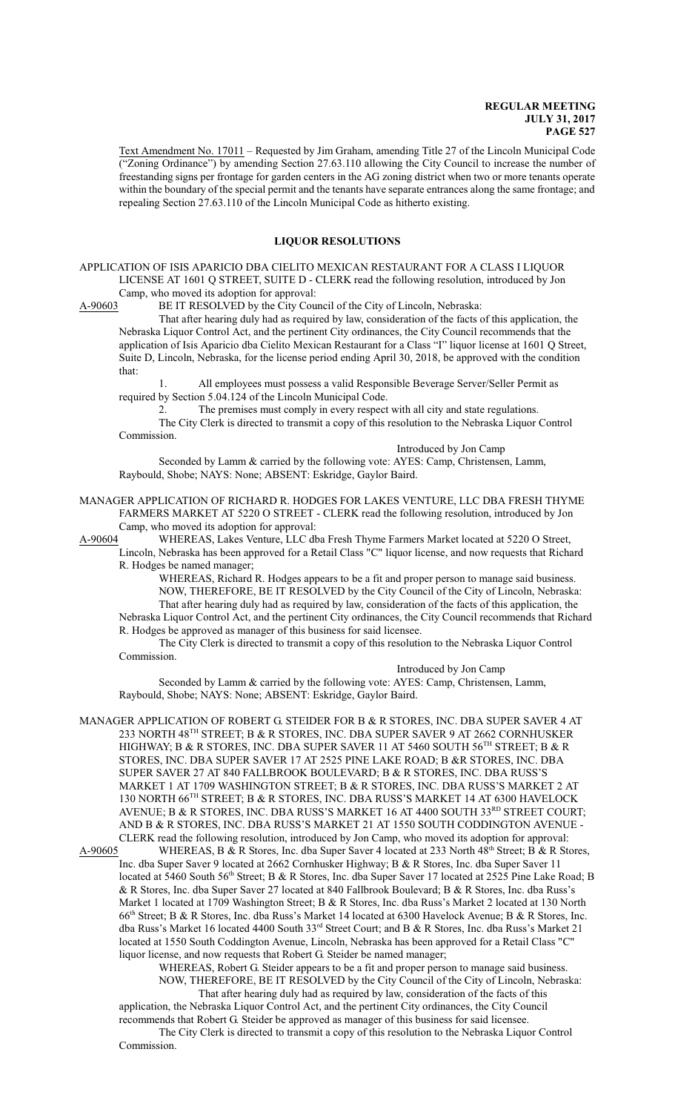Text Amendment No. 17011 – Requested by Jim Graham, amending Title 27 of the Lincoln Municipal Code ("Zoning Ordinance") by amending Section 27.63.110 allowing the City Council to increase the number of freestanding signs per frontage for garden centers in the AG zoning district when two or more tenants operate within the boundary of the special permit and the tenants have separate entrances along the same frontage; and repealing Section 27.63.110 of the Lincoln Municipal Code as hitherto existing.

### **LIQUOR RESOLUTIONS**

APPLICATION OF ISIS APARICIO DBA CIELITO MEXICAN RESTAURANT FOR A CLASS I LIQUOR LICENSE AT 1601 Q STREET, SUITE D - CLERK read the following resolution, introduced by Jon Camp, who moved its adoption for approval:

A-90603 BE IT RESOLVED by the City Council of the City of Lincoln, Nebraska:

That after hearing duly had as required by law, consideration of the facts of this application, the Nebraska Liquor Control Act, and the pertinent City ordinances, the City Council recommends that the application of Isis Aparicio dba Cielito Mexican Restaurant for a Class "I" liquor license at 1601 Q Street, Suite D, Lincoln, Nebraska, for the license period ending April 30, 2018, be approved with the condition that:

1. All employees must possess a valid Responsible Beverage Server/Seller Permit as required by Section 5.04.124 of the Lincoln Municipal Code.

2. The premises must comply in every respect with all city and state regulations.

The City Clerk is directed to transmit a copy of this resolution to the Nebraska Liquor Control Commission.

Introduced by Jon Camp

Seconded by Lamm & carried by the following vote: AYES: Camp, Christensen, Lamm, Raybould, Shobe; NAYS: None; ABSENT: Eskridge, Gaylor Baird.

MANAGER APPLICATION OF RICHARD R. HODGES FOR LAKES VENTURE, LLC DBA FRESH THYME FARMERS MARKET AT 5220 O STREET - CLERK read the following resolution, introduced by Jon Camp, who moved its adoption for approval:

A-90604 WHEREAS, Lakes Venture, LLC dba Fresh Thyme Farmers Market located at 5220 O Street, Lincoln, Nebraska has been approved for a Retail Class "C" liquor license, and now requests that Richard R. Hodges be named manager;

WHEREAS, Richard R. Hodges appears to be a fit and proper person to manage said business. NOW, THEREFORE, BE IT RESOLVED by the City Council of the City of Lincoln, Nebraska: That after hearing duly had as required by law, consideration of the facts of this application, the Nebraska Liquor Control Act, and the pertinent City ordinances, the City Council recommends that Richard R. Hodges be approved as manager of this business for said licensee.

The City Clerk is directed to transmit a copy of this resolution to the Nebraska Liquor Control Commission.

Introduced by Jon Camp

Seconded by Lamm & carried by the following vote: AYES: Camp, Christensen, Lamm, Raybould, Shobe; NAYS: None; ABSENT: Eskridge, Gaylor Baird.

MANAGER APPLICATION OF ROBERT G. STEIDER FOR B & R STORES, INC. DBA SUPER SAVER 4 AT 233 NORTH 48 TH STREET; B & R STORES, INC. DBA SUPER SAVER 9 AT 2662 CORNHUSKER HIGHWAY; B & R STORES, INC. DBA SUPER SAVER 11 AT 5460 SOUTH 56<sup>th</sup> STREET; B & R STORES, INC. DBA SUPER SAVER 17 AT 2525 PINE LAKE ROAD; B &R STORES, INC. DBA SUPER SAVER 27 AT 840 FALLBROOK BOULEVARD; B & R STORES, INC. DBA RUSS'S MARKET 1 AT 1709 WASHINGTON STREET; B & R STORES, INC. DBA RUSS'S MARKET 2 AT 130 NORTH 66<sup>TH</sup> STREET; B & R STORES, INC. DBA RUSS'S MARKET 14 AT 6300 HAVELOCK AVENUE; B & R STORES, INC. DBA RUSS'S MARKET 16 AT 4400 SOUTH 33 $^{\text{RD}}$  STREET COURT; AND B & R STORES, INC. DBA RUSS'S MARKET 21 AT 1550 SOUTH CODDINGTON AVENUE - CLERK read the following resolution, introduced by Jon Camp, who moved its adoption for approval:

A-90605 WHEREAS, B & R Stores, Inc. dba Super Saver 4 located at 233 North 48<sup>th</sup> Street; B & R Stores, Inc. dba Super Saver 9 located at 2662 Cornhusker Highway; B & R Stores, Inc. dba Super Saver 11 located at 5460 South 56<sup>th</sup> Street; B & R Stores, Inc. dba Super Saver 17 located at 2525 Pine Lake Road; B & R Stores, Inc. dba Super Saver 27 located at 840 Fallbrook Boulevard; B & R Stores, Inc. dba Russ's Market 1 located at 1709 Washington Street; B & R Stores, Inc. dba Russ's Market 2 located at 130 North 66<sup>th</sup> Street; B & R Stores, Inc. dba Russ's Market 14 located at 6300 Havelock Avenue; B & R Stores, Inc. dba Russ's Market 16 located 4400 South 33<sup>rd</sup> Street Court; and B & R Stores, Inc. dba Russ's Market 21 located at 1550 South Coddington Avenue, Lincoln, Nebraska has been approved for a Retail Class "C" liquor license, and now requests that Robert G. Steider be named manager;

WHEREAS, Robert G. Steider appears to be a fit and proper person to manage said business. NOW, THEREFORE, BE IT RESOLVED by the City Council of the City of Lincoln, Nebraska:

That after hearing duly had as required by law, consideration of the facts of this

application, the Nebraska Liquor Control Act, and the pertinent City ordinances, the City Council recommends that Robert G. Steider be approved as manager of this business for said licensee.

The City Clerk is directed to transmit a copy of this resolution to the Nebraska Liquor Control Commission.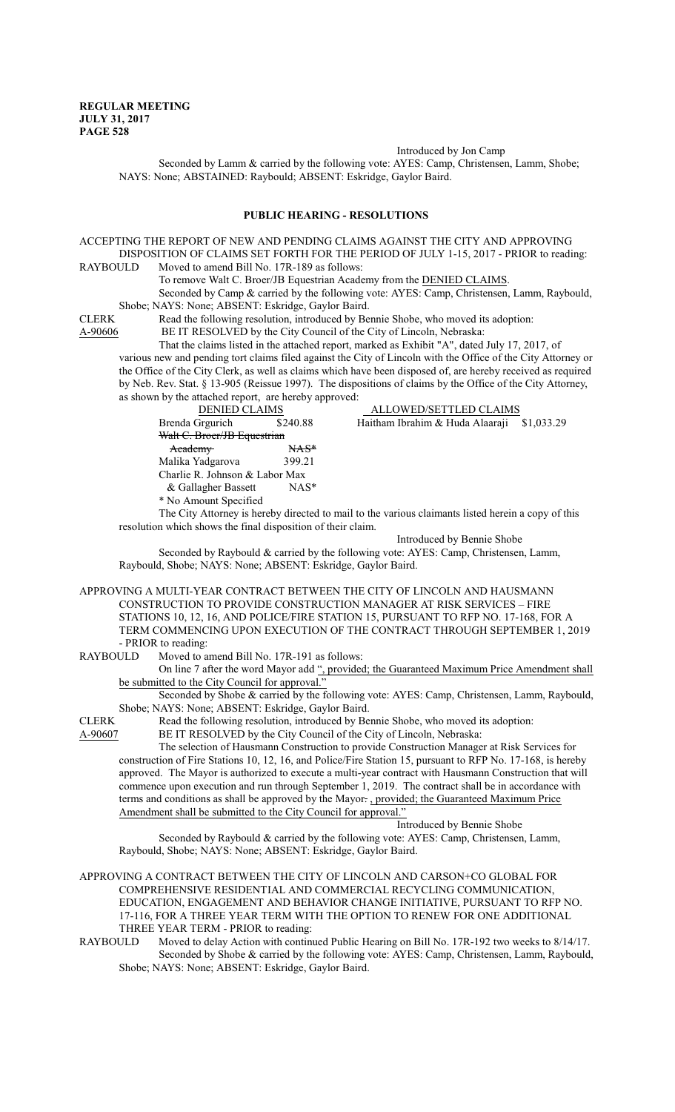Introduced by Jon Camp

Seconded by Lamm & carried by the following vote: AYES: Camp, Christensen, Lamm, Shobe; NAYS: None; ABSTAINED: Raybould; ABSENT: Eskridge, Gaylor Baird.

### **PUBLIC HEARING - RESOLUTIONS**

ACCEPTING THE REPORT OF NEW AND PENDING CLAIMS AGAINST THE CITY AND APPROVING DISPOSITION OF CLAIMS SET FORTH FOR THE PERIOD OF JULY 1-15, 2017 - PRIOR to reading:<br>RAYBOULD Moved to amend Bill No. 17R-189 as follows: Moved to amend Bill No. 17R-189 as follows: To remove Walt C. Broer/JB Equestrian Academy from the DENIED CLAIMS. Seconded by Camp & carried by the following vote: AYES: Camp, Christensen, Lamm, Raybould, Shobe; NAYS: None; ABSENT: Eskridge, Gaylor Baird. CLERK Read the following resolution, introduced by Bennie Shobe, who moved its adoption: A-90606 BE IT RESOLVED by the City Council of the City of Lincoln, Nebraska: That the claims listed in the attached report, marked as Exhibit "A", dated July 17, 2017, of various new and pending tort claims filed against the City of Lincoln with the Office of the City Attorney or the Office of the City Clerk, as well as claims which have been disposed of, are hereby received as required by Neb. Rev. Stat. § 13-905 (Reissue 1997). The dispositions of claims by the Office of the City Attorney, as shown by the attached report, are hereby approved: DENIED CLAIMS ALLOWED/SETTLED CLAIMS Brenda Grgurich \$240.88 Haitham Ibrahim & Huda Alaaraji \$1,033.29 Walt C. Broer/JB Equestrian Academy NAS\* Malika Yadgarova 399.21 Charlie R. Johnson & Labor Max & Gallagher Bassett \* No Amount Specified The City Attorney is hereby directed to mail to the various claimants listed herein a copy of this resolution which shows the final disposition of their claim. Introduced by Bennie Shobe Seconded by Raybould & carried by the following vote: AYES: Camp, Christensen, Lamm, Raybould, Shobe; NAYS: None; ABSENT: Eskridge, Gaylor Baird. APPROVING A MULTI-YEAR CONTRACT BETWEEN THE CITY OF LINCOLN AND HAUSMANN CONSTRUCTION TO PROVIDE CONSTRUCTION MANAGER AT RISK SERVICES – FIRE STATIONS 10, 12, 16, AND POLICE/FIRE STATION 15, PURSUANT TO RFP NO. 17-168, FOR A TERM COMMENCING UPON EXECUTION OF THE CONTRACT THROUGH SEPTEMBER 1, 2019 - PRIOR to reading: RAYBOULD Moved to amend Bill No. 17R-191 as follows: On line 7 after the word Mayor add ", provided; the Guaranteed Maximum Price Amendment shall be submitted to the City Council for approval. Seconded by Shobe & carried by the following vote: AYES: Camp, Christensen, Lamm, Raybould, Shobe; NAYS: None; ABSENT: Eskridge, Gaylor Baird. CLERK Read the following resolution, introduced by Bennie Shobe, who moved its adoption: A-90607 BE IT RESOLVED by the City Council of the City of Lincoln, Nebraska: The selection of Hausmann Construction to provide Construction Manager at Risk Services for construction of Fire Stations 10, 12, 16, and Police/Fire Station 15, pursuant to RFP No. 17-168, is hereby approved. The Mayor is authorized to execute a multi-year contract with Hausmann Construction that will commence upon execution and run through September 1, 2019. The contract shall be in accordance with terms and conditions as shall be approved by the Mayor. , provided; the Guaranteed Maximum Price Amendment shall be submitted to the City Council for approval." Introduced by Bennie Shobe Seconded by Raybould & carried by the following vote: AYES: Camp, Christensen, Lamm, Raybould, Shobe; NAYS: None; ABSENT: Eskridge, Gaylor Baird. APPROVING A CONTRACT BETWEEN THE CITY OF LINCOLN AND CARSON+CO GLOBAL FOR COMPREHENSIVE RESIDENTIAL AND COMMERCIAL RECYCLING COMMUNICATION, EDUCATION, ENGAGEMENT AND BEHAVIOR CHANGE INITIATIVE, PURSUANT TO RFP NO. 17-116, FOR A THREE YEAR TERM WITH THE OPTION TO RENEW FOR ONE ADDITIONAL

THREE YEAR TERM - PRIOR to reading:

RAYBOULD Moved to delay Action with continued Public Hearing on Bill No. 17R-192 two weeks to 8/14/17. Seconded by Shobe & carried by the following vote: AYES: Camp, Christensen, Lamm, Raybould, Shobe; NAYS: None; ABSENT: Eskridge, Gaylor Baird.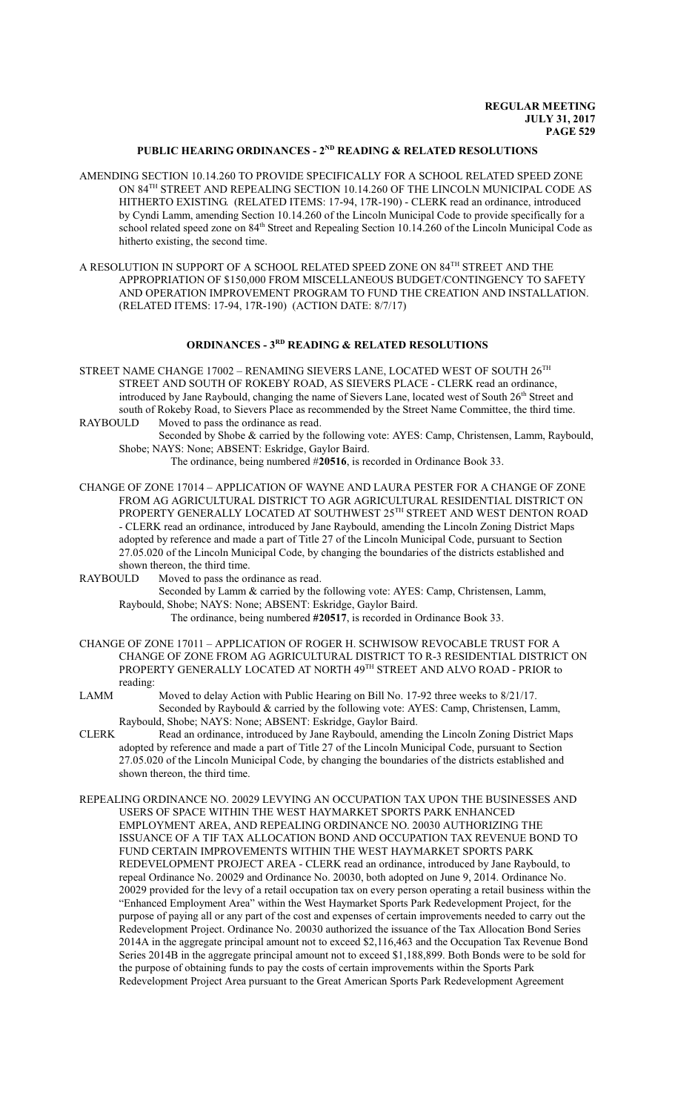# **PUBLIC HEARING ORDINANCES - 2ND READING & RELATED RESOLUTIONS**

- AMENDING SECTION 10.14.260 TO PROVIDE SPECIFICALLY FOR A SCHOOL RELATED SPEED ZONE ON 84 TH STREET AND REPEALING SECTION 10.14.260 OF THE LINCOLN MUNICIPAL CODE AS HITHERTO EXISTING. (RELATED ITEMS: 17-94, 17R-190) - CLERK read an ordinance, introduced by Cyndi Lamm, amending Section 10.14.260 of the Lincoln Municipal Code to provide specifically for a school related speed zone on 84<sup>th</sup> Street and Repealing Section 10.14.260 of the Lincoln Municipal Code as hitherto existing, the second time.
- A RESOLUTION IN SUPPORT OF A SCHOOL RELATED SPEED ZONE ON  $84^{\text{\tiny{TH}}}$  STREET AND THE APPROPRIATION OF \$150,000 FROM MISCELLANEOUS BUDGET/CONTINGENCY TO SAFETY AND OPERATION IMPROVEMENT PROGRAM TO FUND THE CREATION AND INSTALLATION. (RELATED ITEMS: 17-94, 17R-190) (ACTION DATE: 8/7/17)

# **ORDINANCES - 3RD READING & RELATED RESOLUTIONS**

- STREET NAME CHANGE 17002 RENAMING SIEVERS LANE, LOCATED WEST OF SOUTH  $26^{\rm TH}$ STREET AND SOUTH OF ROKEBY ROAD, AS SIEVERS PLACE - CLERK read an ordinance, introduced by Jane Raybould, changing the name of Sievers Lane, located west of South 26<sup>th</sup> Street and south of Rokeby Road, to Sievers Place as recommended by the Street Name Committee, the third time. RAYBOULD Moved to pass the ordinance as read.
	- Seconded by Shobe & carried by the following vote: AYES: Camp, Christensen, Lamm, Raybould, Shobe; NAYS: None; ABSENT: Eskridge, Gaylor Baird.

The ordinance, being numbered #**20516**, is recorded in Ordinance Book 33.

CHANGE OF ZONE 17014 – APPLICATION OF WAYNE AND LAURA PESTER FOR A CHANGE OF ZONE FROM AG AGRICULTURAL DISTRICT TO AGR AGRICULTURAL RESIDENTIAL DISTRICT ON PROPERTY GENERALLY LOCATED AT SOUTHWEST 25TH STREET AND WEST DENTON ROAD - CLERK read an ordinance, introduced by Jane Raybould, amending the Lincoln Zoning District Maps adopted by reference and made a part of Title 27 of the Lincoln Municipal Code, pursuant to Section 27.05.020 of the Lincoln Municipal Code, by changing the boundaries of the districts established and shown thereon, the third time.

RAYBOULD Moved to pass the ordinance as read.

Seconded by Lamm & carried by the following vote: AYES: Camp, Christensen, Lamm, Raybould, Shobe; NAYS: None; ABSENT: Eskridge, Gaylor Baird.

The ordinance, being numbered **#20517**, is recorded in Ordinance Book 33.

- CHANGE OF ZONE 17011 APPLICATION OF ROGER H. SCHWISOW REVOCABLE TRUST FOR A CHANGE OF ZONE FROM AG AGRICULTURAL DISTRICT TO R-3 RESIDENTIAL DISTRICT ON PROPERTY GENERALLY LOCATED AT NORTH 49<sup>th</sup> STREET AND ALVO ROAD - PRIOR to reading:
- LAMM Moved to delay Action with Public Hearing on Bill No. 17-92 three weeks to 8/21/17. Seconded by Raybould & carried by the following vote: AYES: Camp, Christensen, Lamm, Raybould, Shobe; NAYS: None; ABSENT: Eskridge, Gaylor Baird.
- CLERK Read an ordinance, introduced by Jane Raybould, amending the Lincoln Zoning District Maps adopted by reference and made a part of Title 27 of the Lincoln Municipal Code, pursuant to Section 27.05.020 of the Lincoln Municipal Code, by changing the boundaries of the districts established and shown thereon, the third time.
- REPEALING ORDINANCE NO. 20029 LEVYING AN OCCUPATION TAX UPON THE BUSINESSES AND USERS OF SPACE WITHIN THE WEST HAYMARKET SPORTS PARK ENHANCED EMPLOYMENT AREA, AND REPEALING ORDINANCE NO. 20030 AUTHORIZING THE ISSUANCE OF A TIF TAX ALLOCATION BOND AND OCCUPATION TAX REVENUE BOND TO FUND CERTAIN IMPROVEMENTS WITHIN THE WEST HAYMARKET SPORTS PARK REDEVELOPMENT PROJECT AREA - CLERK read an ordinance, introduced by Jane Raybould, to repeal Ordinance No. 20029 and Ordinance No. 20030, both adopted on June 9, 2014. Ordinance No. 20029 provided for the levy of a retail occupation tax on every person operating a retail business within the "Enhanced Employment Area" within the West Haymarket Sports Park Redevelopment Project, for the purpose of paying all or any part of the cost and expenses of certain improvements needed to carry out the Redevelopment Project. Ordinance No. 20030 authorized the issuance of the Tax Allocation Bond Series 2014A in the aggregate principal amount not to exceed \$2,116,463 and the Occupation Tax Revenue Bond Series 2014B in the aggregate principal amount not to exceed \$1,188,899. Both Bonds were to be sold for the purpose of obtaining funds to pay the costs of certain improvements within the Sports Park Redevelopment Project Area pursuant to the Great American Sports Park Redevelopment Agreement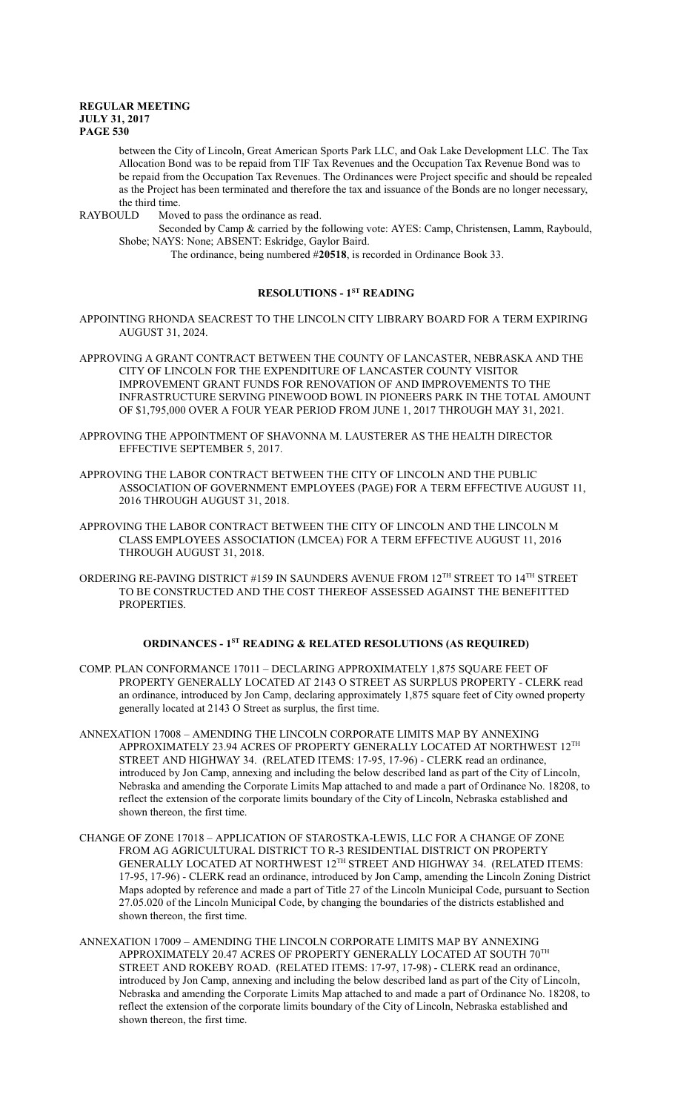between the City of Lincoln, Great American Sports Park LLC, and Oak Lake Development LLC. The Tax Allocation Bond was to be repaid from TIF Tax Revenues and the Occupation Tax Revenue Bond was to be repaid from the Occupation Tax Revenues. The Ordinances were Project specific and should be repealed as the Project has been terminated and therefore the tax and issuance of the Bonds are no longer necessary, the third time.

RAYBOULD Moved to pass the ordinance as read.

Seconded by Camp & carried by the following vote: AYES: Camp, Christensen, Lamm, Raybould, Shobe; NAYS: None; ABSENT: Eskridge, Gaylor Baird.

The ordinance, being numbered #**20518**, is recorded in Ordinance Book 33.

### **RESOLUTIONS - 1ST READING**

APPOINTING RHONDA SEACREST TO THE LINCOLN CITY LIBRARY BOARD FOR A TERM EXPIRING AUGUST 31, 2024.

- APPROVING A GRANT CONTRACT BETWEEN THE COUNTY OF LANCASTER, NEBRASKA AND THE CITY OF LINCOLN FOR THE EXPENDITURE OF LANCASTER COUNTY VISITOR IMPROVEMENT GRANT FUNDS FOR RENOVATION OF AND IMPROVEMENTS TO THE INFRASTRUCTURE SERVING PINEWOOD BOWL IN PIONEERS PARK IN THE TOTAL AMOUNT OF \$1,795,000 OVER A FOUR YEAR PERIOD FROM JUNE 1, 2017 THROUGH MAY 31, 2021.
- APPROVING THE APPOINTMENT OF SHAVONNA M. LAUSTERER AS THE HEALTH DIRECTOR EFFECTIVE SEPTEMBER 5, 2017.
- APPROVING THE LABOR CONTRACT BETWEEN THE CITY OF LINCOLN AND THE PUBLIC ASSOCIATION OF GOVERNMENT EMPLOYEES (PAGE) FOR A TERM EFFECTIVE AUGUST 11, 2016 THROUGH AUGUST 31, 2018.
- APPROVING THE LABOR CONTRACT BETWEEN THE CITY OF LINCOLN AND THE LINCOLN M CLASS EMPLOYEES ASSOCIATION (LMCEA) FOR A TERM EFFECTIVE AUGUST 11, 2016 THROUGH AUGUST 31, 2018.
- ORDERING RE-PAVING DISTRICT #159 IN SAUNDERS AVENUE FROM 12 $^{\text{\tiny{TH}}}$  STREET TO 14 $^{\text{\tiny{TH}}}$  STREET TO BE CONSTRUCTED AND THE COST THEREOF ASSESSED AGAINST THE BENEFITTED PROPERTIES.

# **ORDINANCES - 1ST READING & RELATED RESOLUTIONS (AS REQUIRED)**

- COMP. PLAN CONFORMANCE 17011 DECLARING APPROXIMATELY 1,875 SQUARE FEET OF PROPERTY GENERALLY LOCATED AT 2143 O STREET AS SURPLUS PROPERTY - CLERK read an ordinance, introduced by Jon Camp, declaring approximately 1,875 square feet of City owned property generally located at 2143 O Street as surplus, the first time.
- ANNEXATION 17008 AMENDING THE LINCOLN CORPORATE LIMITS MAP BY ANNEXING APPROXIMATELY 23.94 ACRES OF PROPERTY GENERALLY LOCATED AT NORTHWEST  $12^{\text{\tiny{TH}}}$ STREET AND HIGHWAY 34. (RELATED ITEMS: 17-95, 17-96) - CLERK read an ordinance, introduced by Jon Camp, annexing and including the below described land as part of the City of Lincoln, Nebraska and amending the Corporate Limits Map attached to and made a part of Ordinance No. 18208, to reflect the extension of the corporate limits boundary of the City of Lincoln, Nebraska established and shown thereon, the first time.
- CHANGE OF ZONE 17018 APPLICATION OF STAROSTKA-LEWIS, LLC FOR A CHANGE OF ZONE FROM AG AGRICULTURAL DISTRICT TO R-3 RESIDENTIAL DISTRICT ON PROPERTY GENERALLY LOCATED AT NORTHWEST  $12^{\text{TH}}$  STREET AND HIGHWAY 34. (RELATED ITEMS: 17-95, 17-96) - CLERK read an ordinance, introduced by Jon Camp, amending the Lincoln Zoning District Maps adopted by reference and made a part of Title 27 of the Lincoln Municipal Code, pursuant to Section 27.05.020 of the Lincoln Municipal Code, by changing the boundaries of the districts established and shown thereon, the first time.
- ANNEXATION 17009 AMENDING THE LINCOLN CORPORATE LIMITS MAP BY ANNEXING APPROXIMATELY 20.47 ACRES OF PROPERTY GENERALLY LOCATED AT SOUTH  $70^{\mathrm{TH}}$ STREET AND ROKEBY ROAD. (RELATED ITEMS: 17-97, 17-98) - CLERK read an ordinance, introduced by Jon Camp, annexing and including the below described land as part of the City of Lincoln, Nebraska and amending the Corporate Limits Map attached to and made a part of Ordinance No. 18208, to reflect the extension of the corporate limits boundary of the City of Lincoln, Nebraska established and shown thereon, the first time.